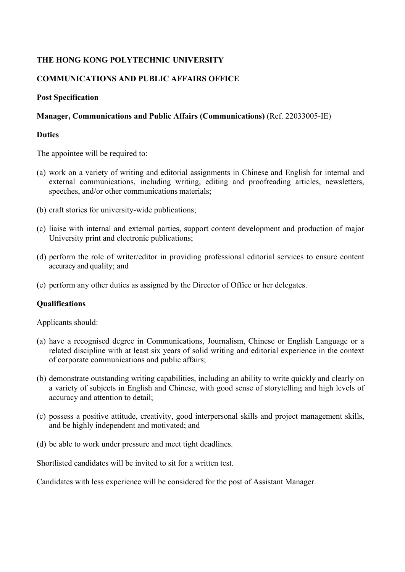# **THE HONG KONG POLYTECHNIC UNIVERSITY**

# **COMMUNICATIONS AND PUBLIC AFFAIRS OFFICE**

## **Post Specification**

### **Manager, Communications and Public Affairs (Communications)** (Ref. 22033005-IE)

#### **Duties**

The appointee will be required to:

- (a) work on a variety of writing and editorial assignments in Chinese and English for internal and external communications, including writing, editing and proofreading articles, newsletters, speeches, and/or other communications materials;
- (b) craft stories for university-wide publications;
- (c) liaise with internal and external parties, support content development and production of major University print and electronic publications;
- (d) perform the role of writer/editor in providing professional editorial services to ensure content accuracy and quality; and
- (e) perform any other duties as assigned by the Director of Office or her delegates.

## **Qualifications**

Applicants should:

- (a) have a recognised degree in Communications, Journalism, Chinese or English Language or a related discipline with at least six years of solid writing and editorial experience in the context of corporate communications and public affairs;
- (b) demonstrate outstanding writing capabilities, including an ability to write quickly and clearly on a variety of subjects in English and Chinese, with good sense of storytelling and high levels of accuracy and attention to detail;
- (c) possess a positive attitude, creativity, good interpersonal skills and project management skills, and be highly independent and motivated; and
- (d) be able to work under pressure and meet tight deadlines.

Shortlisted candidates will be invited to sit for a written test.

Candidates with less experience will be considered for the post of Assistant Manager.